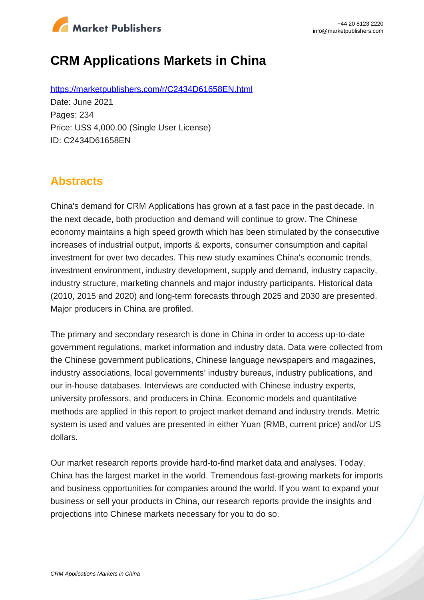

# **CRM Applications Markets in China**

https://marketpublishers.com/r/C2434D61658EN.html Date: June 2021 Pages: 234 Price: US\$ 4,000.00 (Single User License) ID: C2434D61658EN

## **Abstracts**

China's demand for CRM Applications has grown at a fast pace in the past decade. In the next decade, both production and demand will continue to grow. The Chinese economy maintains a high speed growth which has been stimulated by the consecutive increases of industrial output, imports & exports, consumer consumption and capital investment for over two decades. This new study examines China's economic trends, investment environment, industry development, supply and demand, industry capacity, industry structure, marketing channels and major industry participants. Historical data (2010, 2015 and 2020) and long-term forecasts through 2025 and 2030 are presented. Major producers in China are profiled.

The primary and secondary research is done in China in order to access up-to-date government regulations, market information and industry data. Data were collected from the Chinese government publications, Chinese language newspapers and magazines, industry associations, local governments' industry bureaus, industry publications, and our in-house databases. Interviews are conducted with Chinese industry experts, university professors, and producers in China. Economic models and quantitative methods are applied in this report to project market demand and industry trends. Metric system is used and values are presented in either Yuan (RMB, current price) and/or US dollars.

Our market research reports provide hard-to-find market data and analyses. Today, China has the largest market in the world. Tremendous fast-growing markets for imports and business opportunities for companies around the world. If you want to expand your business or sell your products in China, our research reports provide the insights and projections into Chinese markets necessary for you to do so.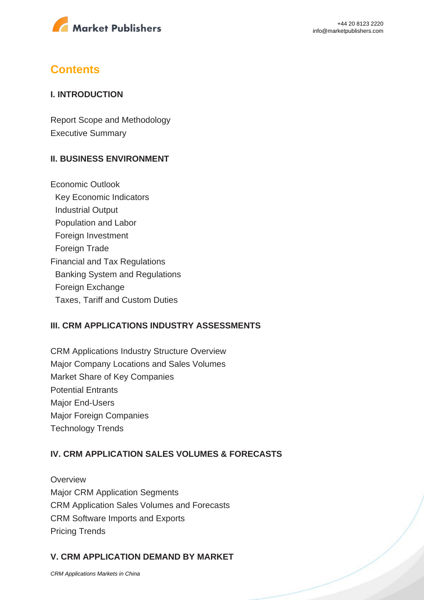

### **Contents**

#### **I. INTRODUCTION**

Report Scope and Methodology Executive Summary

#### **II. BUSINESS ENVIRONMENT**

Economic Outlook Key Economic Indicators Industrial Output Population and Labor Foreign Investment Foreign Trade Financial and Tax Regulations Banking System and Regulations Foreign Exchange Taxes, Tariff and Custom Duties

### **III. CRM APPLICATIONS INDUSTRY ASSESSMENTS**

CRM Applications Industry Structure Overview Major Company Locations and Sales Volumes Market Share of Key Companies Potential Entrants Major End-Users Major Foreign Companies Technology Trends

### **IV. CRM APPLICATION SALES VOLUMES & FORECASTS**

**Overview** Major CRM Application Segments CRM Application Sales Volumes and Forecasts CRM Software Imports and Exports Pricing Trends

### **V. CRM APPLICATION DEMAND BY MARKET**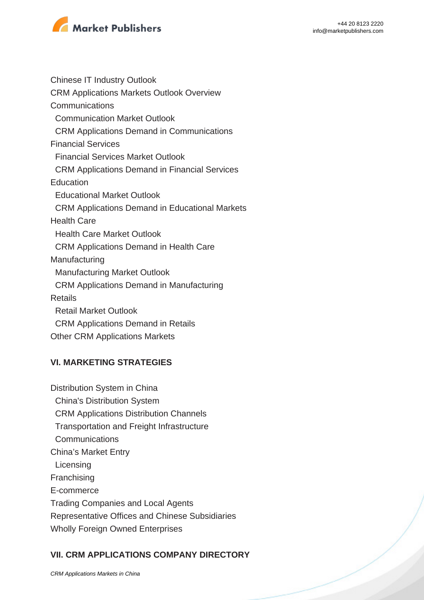

Chinese IT Industry Outlook CRM Applications Markets Outlook Overview **Communications**  Communication Market Outlook CRM Applications Demand in Communications Financial Services Financial Services Market Outlook CRM Applications Demand in Financial Services **Education**  Educational Market Outlook CRM Applications Demand in Educational Markets Health Care Health Care Market Outlook CRM Applications Demand in Health Care Manufacturing Manufacturing Market Outlook CRM Applications Demand in Manufacturing Retails Retail Market Outlook CRM Applications Demand in Retails Other CRM Applications Markets

### **VI. MARKETING STRATEGIES**

Distribution System in China China's Distribution System CRM Applications Distribution Channels Transportation and Freight Infrastructure **Communications** China's Market Entry **Licensing** Franchising E-commerce Trading Companies and Local Agents Representative Offices and Chinese Subsidiaries Wholly Foreign Owned Enterprises

### **VII. CRM APPLICATIONS COMPANY DIRECTORY**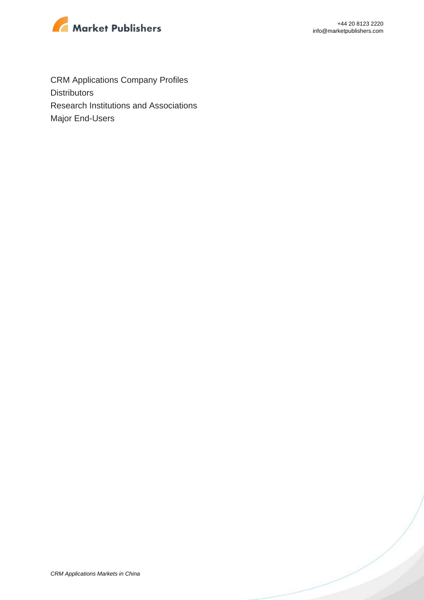

CRM Applications Company Profiles **Distributors** Research Institutions and Associations Major End-Users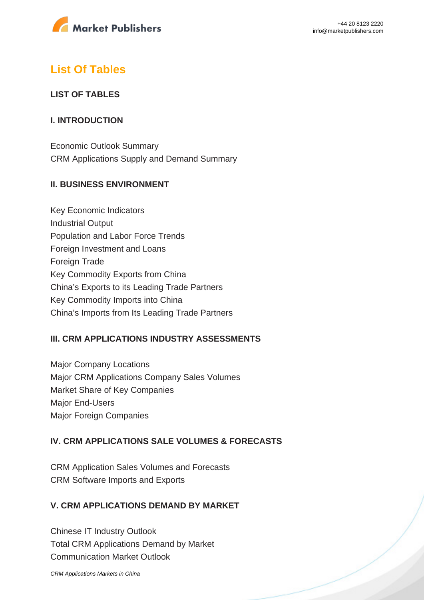

## **List Of Tables**

### **LIST OF TABLES**

### **I. INTRODUCTION**

Economic Outlook Summary CRM Applications Supply and Demand Summary

### **II. BUSINESS ENVIRONMENT**

Key Economic Indicators Industrial Output Population and Labor Force Trends Foreign Investment and Loans Foreign Trade Key Commodity Exports from China China's Exports to its Leading Trade Partners Key Commodity Imports into China China's Imports from Its Leading Trade Partners

### **III. CRM APPLICATIONS INDUSTRY ASSESSMENTS**

Major Company Locations Major CRM Applications Company Sales Volumes Market Share of Key Companies Major End-Users Major Foreign Companies

### **IV. CRM APPLICATIONS SALE VOLUMES & FORECASTS**

CRM Application Sales Volumes and Forecasts CRM Software Imports and Exports

### **V. CRM APPLICATIONS DEMAND BY MARKET**

Chinese IT Industry Outlook Total CRM Applications Demand by Market Communication Market Outlook

[CRM Applications Markets in China](https://marketpublishers.com/report/software/application_software/crm-applications-markets-in-china.html)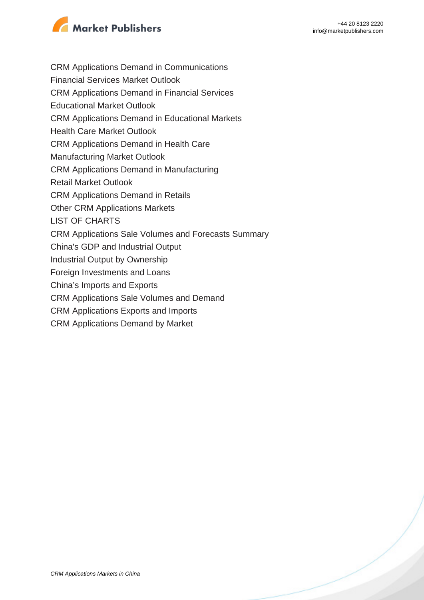

- CRM Applications Demand in Communications
- Financial Services Market Outlook
- CRM Applications Demand in Financial Services
- Educational Market Outlook
- CRM Applications Demand in Educational Markets
- Health Care Market Outlook
- CRM Applications Demand in Health Care
- Manufacturing Market Outlook
- CRM Applications Demand in Manufacturing
- Retail Market Outlook
- CRM Applications Demand in Retails
- Other CRM Applications Markets
- LIST OF CHARTS
- CRM Applications Sale Volumes and Forecasts Summary
- China's GDP and Industrial Output
- Industrial Output by Ownership
- Foreign Investments and Loans
- China's Imports and Exports
- CRM Applications Sale Volumes and Demand
- CRM Applications Exports and Imports
- CRM Applications Demand by Market